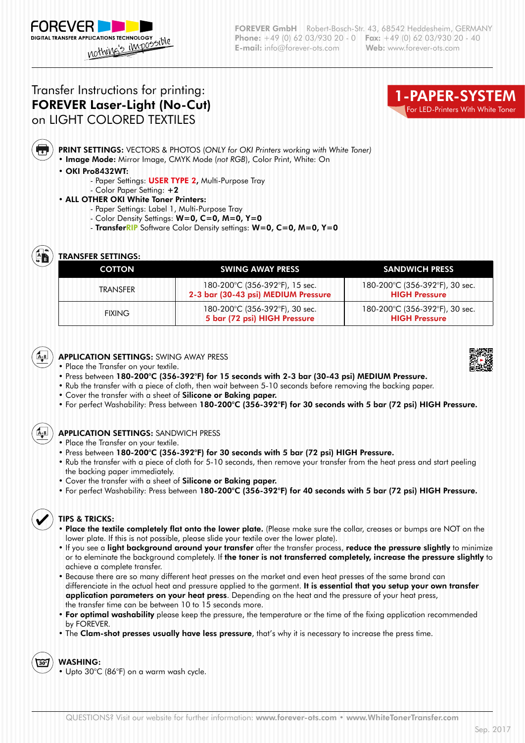# Transfer Instructions for printing: FOREVER Laser-Light (No-Cut) on LIGHT COLORED TEXTILES



PRINT SETTINGS: VECTORS & PHOTOS (*ONLY for OKI Printers working with White Toner)*

• Image Mode: Mirror Image, CMYK Mode (*not RGB*), Color Print, White: On

#### • OKI Pro8432WT:

- Paper Settings: **USER TYPE 2, Multi-Purpose Tray**
- Color Paper Setting: +2
- ALL OTHER OKI White Toner Printers:
	- Paper Settings: Label 1, Multi-Purpose Tray
	- Color Density Settings: W=0, C=0, M=0, Y=0
	- TransferRIP Software Color Density settings: W=0, C=0, M=0, Y=0

m

## TRANSFER SETTINGS:

| <b>COTTON</b> | <b>SWING AWAY PRESS</b>                                               | <b>SANDWICH PRESS</b>                                  |
|---------------|-----------------------------------------------------------------------|--------------------------------------------------------|
| TRANSFFR      | 180-200°C (356-392°F), 15 sec.<br>2-3 bar (30-43 psi) MEDIUM Pressure | 180-200°C (356-392°F), 30 sec.<br><b>HIGH Pressure</b> |
| <b>FIXING</b> | 180-200°C (356-392°F), 30 sec.<br>5 bar (72 psi) HIGH Pressure        | 180-200°C (356-392°F), 30 sec.<br><b>HIGH Pressure</b> |



- Place the Transfer on your textile.
- Press between 180-200°C (356-392°F) for 15 seconds with 2-3 bar (30-43 psi) MEDIUM Pressure.
- Rub the transfer with a piece of cloth, then wait between 5-10 seconds before removing the backing paper.
- Cover the transfer with a sheet of **Silicone or Baking paper.**
- For perfect Washability: Press between 180-200°C (356-392°F) for 30 seconds with 5 bar (72 psi) HIGH Pressure.

APPLICATION SETTINGS: SANDWICH PRESS

- Place the Transfer on your textile.
- Press between 180-200°C (356-392°F) for 30 seconds with 5 bar (72 psi) HIGH Pressure.
- Rub the transfer with a piece of cloth for 5-10 seconds, then remove your transfer from the heat press and start peeling the backing paper immediately.
- Cover the transfer with a sheet of Silicone or Baking paper.
- For perfect Washability: Press between 180-200°C (356-392°F) for 40 seconds with 5 bar (72 psi) HIGH Pressure.



### TIPS & TRICKS:

- Place the textile completely flat onto the lower plate. (Please make sure the collar, creases or bumps are NOT on the lower plate. If this is not possible, please slide your textile over the lower plate).
- If you see a light background around your transfer after the transfer process, reduce the pressure slightly to minimize or to eleminate the background completely. If the toner is not transferred completely, increase the pressure slightly to achieve a complete transfer.
- Because there are so many different heat presses on the market and even heat presses of the same brand can differenciate in the actual heat and pressure applied to the garment. It is essential that you setup your own transfer application parameters on your heat press. Depending on the heat and the pressure of your heat press, the transfer time can be between 10 to 15 seconds more.
- For optimal washability please keep the pressure, the temperature or the time of the fixing application recommended by FOREVER.
- The Clam-shot presses usually have less pressure, that's why it is necessary to increase the press time.

### WASHING:

• Upto 30°C (86°F) on a warm wash cycle.